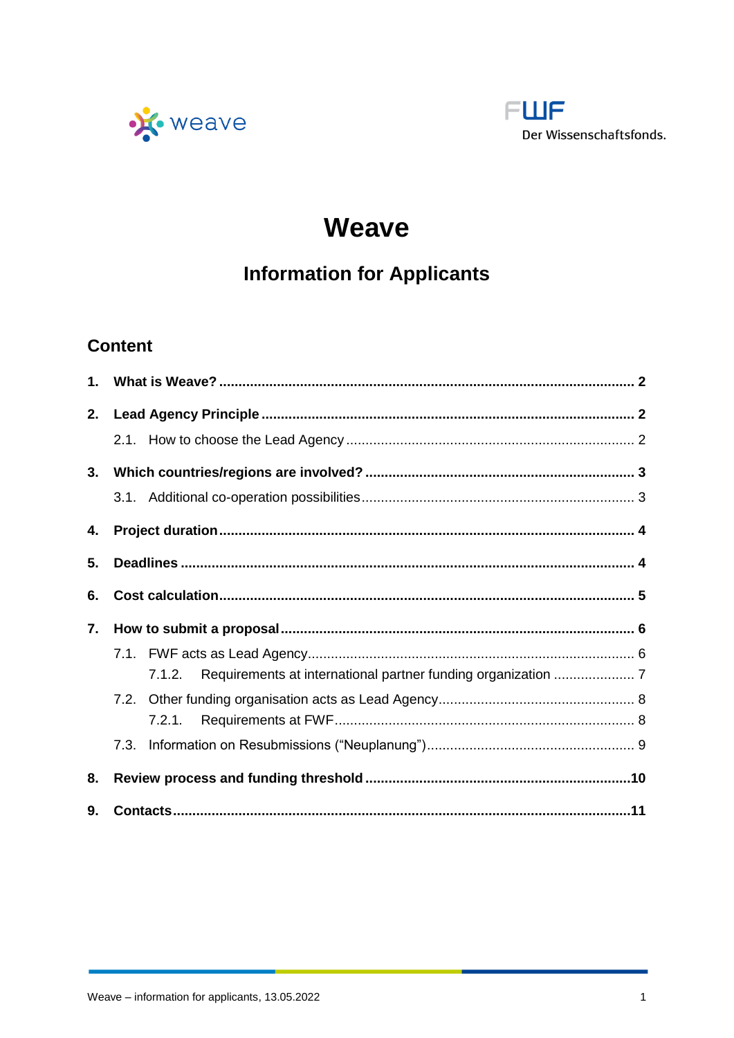



# **Weave**

# **Information for Applicants**

# **Content**

| $1_{-}$ |      |        |  |  |
|---------|------|--------|--|--|
| 2.      |      |        |  |  |
|         |      |        |  |  |
| 3.      |      |        |  |  |
|         |      |        |  |  |
| 4.      |      |        |  |  |
| 5.      |      |        |  |  |
| 6.      |      |        |  |  |
| 7.      |      |        |  |  |
|         |      |        |  |  |
|         |      | 7.1.2. |  |  |
|         | 7.2. |        |  |  |
|         |      | 7.2.1. |  |  |
|         | 7.3. |        |  |  |
| 8.      |      |        |  |  |
| 9.      |      |        |  |  |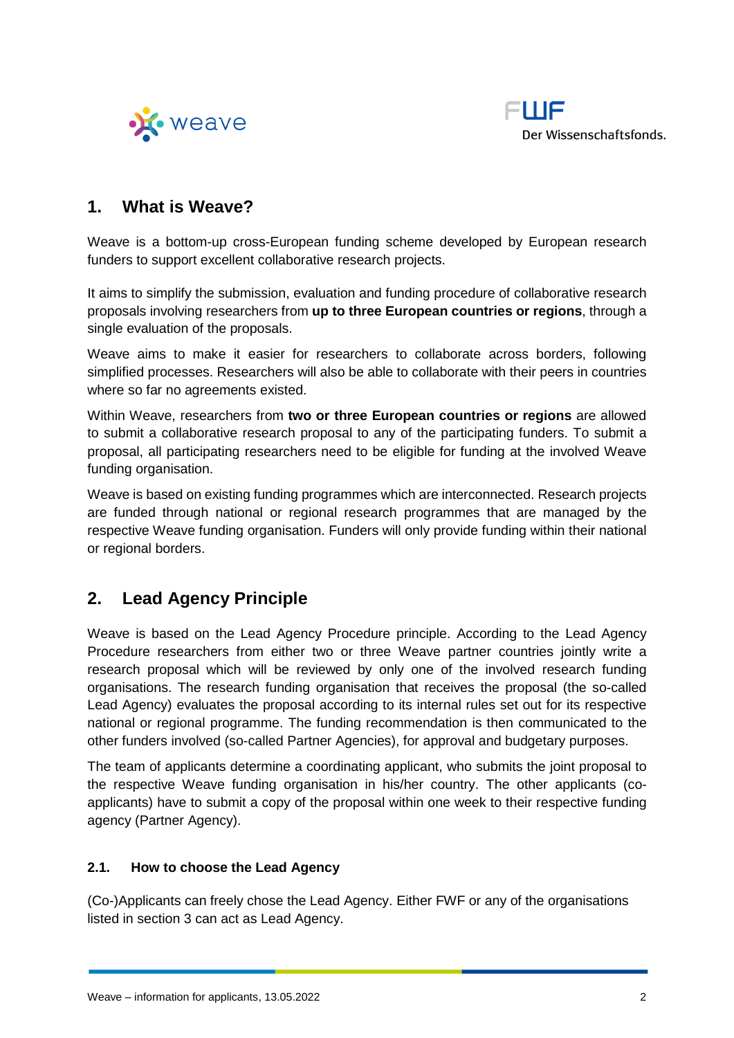



# <span id="page-1-0"></span>**1. What is Weave?**

Weave is a bottom-up cross-European funding scheme developed by European research funders to support excellent collaborative research projects.

It aims to simplify the submission, evaluation and funding procedure of collaborative research proposals involving researchers from **up to three European countries or regions**, through a single evaluation of the proposals.

Weave aims to make it easier for researchers to collaborate across borders, following simplified processes. Researchers will also be able to collaborate with their peers in countries where so far no agreements existed.

Within Weave, researchers from **two or three European countries or regions** are allowed to submit a collaborative research proposal to any of the participating funders. To submit a proposal, all participating researchers need to be eligible for funding at the involved Weave funding organisation.

Weave is based on existing funding programmes which are interconnected. Research projects are funded through national or regional research programmes that are managed by the respective Weave funding organisation. Funders will only provide funding within their national or regional borders.

# <span id="page-1-1"></span>**2. Lead Agency Principle**

Weave is based on the Lead Agency Procedure principle. According to the Lead Agency Procedure researchers from either two or three Weave partner countries jointly write a research proposal which will be reviewed by only one of the involved research funding organisations. The research funding organisation that receives the proposal (the so-called Lead Agency) evaluates the proposal according to its internal rules set out for its respective national or regional programme. The funding recommendation is then communicated to the other funders involved (so-called Partner Agencies), for approval and budgetary purposes.

The team of applicants determine a coordinating applicant, who submits the joint proposal to the respective Weave funding organisation in his/her country. The other applicants (coapplicants) have to submit a copy of the proposal within one week to their respective funding agency (Partner Agency).

### <span id="page-1-2"></span>**2.1. How to choose the Lead Agency**

(Co-)Applicants can freely chose the Lead Agency. Either FWF or any of the organisations listed in section 3 can act as Lead Agency.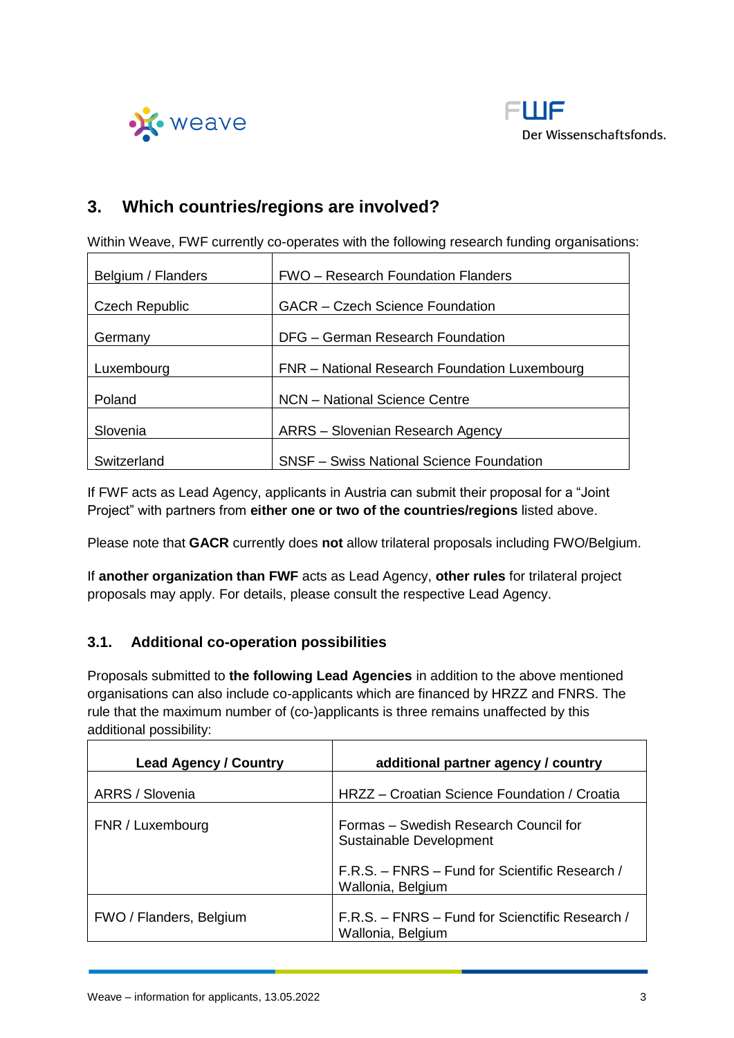



# <span id="page-2-0"></span>**3. Which countries/regions are involved?**

Within Weave, FWF currently co-operates with the following research funding organisations:

| Belgium / Flanders    | <b>FWO</b> – Research Foundation Flanders       |  |
|-----------------------|-------------------------------------------------|--|
| <b>Czech Republic</b> | <b>GACR</b> – Czech Science Foundation          |  |
| Germany               | DFG - German Research Foundation                |  |
| Luxembourg            | FNR - National Research Foundation Luxembourg   |  |
| Poland                | NCN - National Science Centre                   |  |
| Slovenia              | ARRS - Slovenian Research Agency                |  |
| Switzerland           | <b>SNSF - Swiss National Science Foundation</b> |  |

If FWF acts as Lead Agency, applicants in Austria can submit their proposal for a "Joint Project" with partners from **either one or two of the countries/regions** listed above.

Please note that **GACR** currently does **not** allow trilateral proposals including FWO/Belgium.

If **another organization than FWF** acts as Lead Agency, **other rules** for trilateral project proposals may apply. For details, please consult the respective Lead Agency.

### <span id="page-2-1"></span>**3.1. Additional co-operation possibilities**

Proposals submitted to **the following Lead Agencies** in addition to the above mentioned organisations can also include co-applicants which are financed by HRZZ and FNRS. The rule that the maximum number of (co-)applicants is three remains unaffected by this additional possibility:

| <b>Lead Agency / Country</b> | additional partner agency / country                                  |
|------------------------------|----------------------------------------------------------------------|
| ARRS / Slovenia              | HRZZ - Croatian Science Foundation / Croatia                         |
| FNR / Luxembourg             | Formas - Swedish Research Council for<br>Sustainable Development     |
|                              | F.R.S. - FNRS - Fund for Scientific Research /<br>Wallonia, Belgium  |
| FWO / Flanders, Belgium      | F.R.S. - FNRS - Fund for Scienctific Research /<br>Wallonia, Belgium |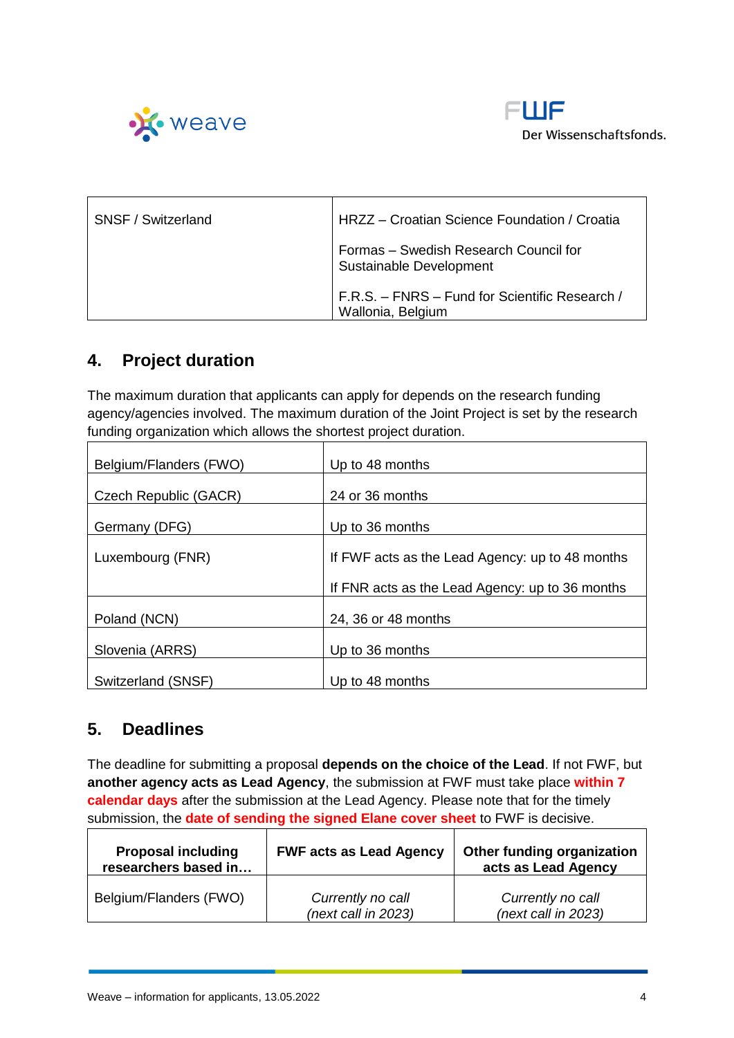



| SNSF / Switzerland | HRZZ - Croatian Science Foundation / Croatia                        |  |
|--------------------|---------------------------------------------------------------------|--|
|                    | Formas - Swedish Research Council for<br>Sustainable Development    |  |
|                    | F.R.S. - FNRS - Fund for Scientific Research /<br>Wallonia, Belgium |  |

# <span id="page-3-0"></span>**4. Project duration**

The maximum duration that applicants can apply for depends on the research funding agency/agencies involved. The maximum duration of the Joint Project is set by the research funding organization which allows the shortest project duration.

| Belgium/Flanders (FWO) | Up to 48 months                                 |  |
|------------------------|-------------------------------------------------|--|
| Czech Republic (GACR)  | 24 or 36 months                                 |  |
| Germany (DFG)          | Up to 36 months                                 |  |
| Luxembourg (FNR)       | If FWF acts as the Lead Agency: up to 48 months |  |
|                        |                                                 |  |
|                        | If FNR acts as the Lead Agency: up to 36 months |  |
| Poland (NCN)           | 24, 36 or 48 months                             |  |
| Slovenia (ARRS)        | Up to 36 months                                 |  |
|                        |                                                 |  |
| Switzerland (SNSF)     | Up to 48 months                                 |  |

# <span id="page-3-1"></span>**5. Deadlines**

The deadline for submitting a proposal **depends on the choice of the Lead**. If not FWF, but **another agency acts as Lead Agency**, the submission at FWF must take place **within 7 calendar days** after the submission at the Lead Agency. Please note that for the timely submission, the **date of sending the signed Elane cover sheet** to FWF is decisive.  $\Gamma$ ٦

┓

| <b>Proposal including</b><br>researchers based in | <b>FWF acts as Lead Agency</b>             | <b>Other funding organization</b><br>acts as Lead Agency |
|---------------------------------------------------|--------------------------------------------|----------------------------------------------------------|
| Belgium/Flanders (FWO)                            | Currently no call<br>$(next$ call in 2023) | Currently no call<br>(next call in 2023)                 |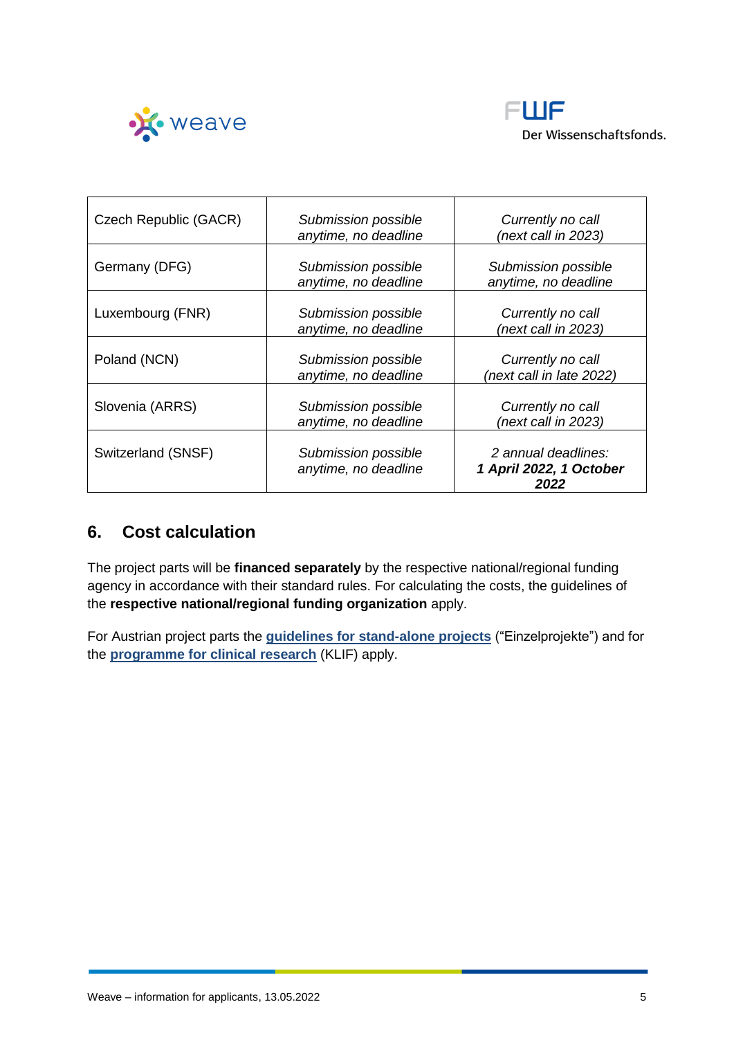



| Czech Republic (GACR) | Submission possible<br>anytime, no deadline | Currently no call<br>(next call in 2023)               |
|-----------------------|---------------------------------------------|--------------------------------------------------------|
| Germany (DFG)         | Submission possible<br>anytime, no deadline | Submission possible<br>anytime, no deadline            |
| Luxembourg (FNR)      | Submission possible<br>anytime, no deadline | Currently no call<br>(next call in 2023)               |
| Poland (NCN)          | Submission possible<br>anytime, no deadline | Currently no call<br>(next call in late 2022)          |
| Slovenia (ARRS)       | Submission possible<br>anytime, no deadline | Currently no call<br>(next call in 2023)               |
| Switzerland (SNSF)    | Submission possible<br>anytime, no deadline | 2 annual deadlines:<br>1 April 2022, 1 October<br>2022 |

# <span id="page-4-0"></span>**6. Cost calculation**

The project parts will be **financed separately** by the respective national/regional funding agency in accordance with their standard rules. For calculating the costs, the guidelines of the **respective national/regional funding organization** apply.

For Austrian project parts the **[guidelines for stand-alone projects](https://www.fwf.ac.at/fileadmin/files/Dokumente/Antragstellung/Einzelprojekte/p_application-guidelines.pdf)** ("Einzelprojekte") and for the **[programme for clinical research](https://www.fwf.ac.at/fileadmin/files/Dokumente/Antragstellung/KLIF/klif_application-guidelines.pdf)** (KLIF) apply.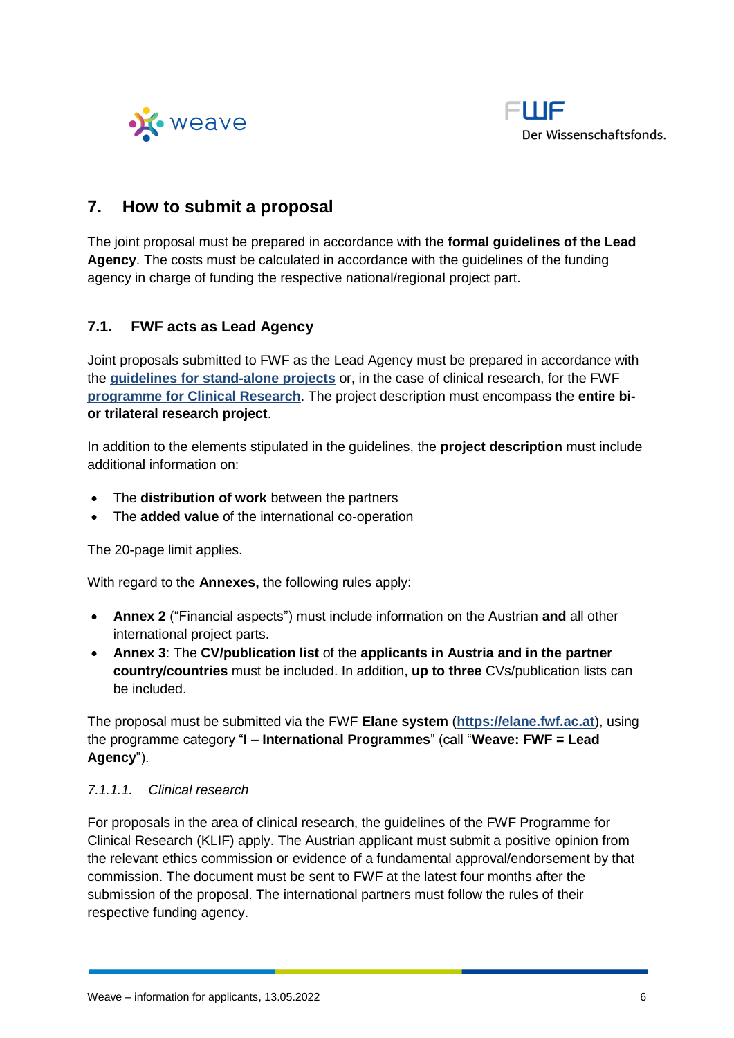



## <span id="page-5-0"></span>**7. How to submit a proposal**

The joint proposal must be prepared in accordance with the **formal guidelines of the Lead Agency**. The costs must be calculated in accordance with the guidelines of the funding agency in charge of funding the respective national/regional project part.

### <span id="page-5-1"></span>**7.1. FWF acts as Lead Agency**

Joint proposals submitted to FWF as the Lead Agency must be prepared in accordance with the **[guidelines for stand-alone projects](https://www.fwf.ac.at/fileadmin/files/Dokumente/Antragstellung/Einzelprojekte/p_application-guidelines.pdf)** or, in the case of clinical research, for the FWF **[programme for Clinical Research](https://www.fwf.ac.at/fileadmin/files/Dokumente/Antragstellung/KLIF/klif_application-guidelines.pdf)**. The project description must encompass the **entire bior trilateral research project**.

In addition to the elements stipulated in the guidelines, the **project description** must include additional information on:

- The **distribution of work** between the partners
- The **added value** of the international co-operation

The 20-page limit applies.

With regard to the **Annexes,** the following rules apply:

- **Annex 2** ("Financial aspects") must include information on the Austrian **and** all other international project parts.
- **Annex 3**: The **CV/publication list** of the **applicants in Austria and in the partner country/countries** must be included. In addition, **up to three** CVs/publication lists can be included.

The proposal must be submitted via the FWF **Elane system** (**[https://elane.fwf.ac.at](https://elane.fwf.ac.at/)**), using the programme category "**I – International Programmes**" (call "**Weave: FWF = Lead Agency**").

### *7.1.1.1. Clinical research*

For proposals in the area of clinical research, the guidelines of the FWF Programme for Clinical Research (KLIF) apply. The Austrian applicant must submit a positive opinion from the relevant ethics commission or evidence of a fundamental approval/endorsement by that commission. The document must be sent to FWF at the latest four months after the submission of the proposal. The international partners must follow the rules of their respective funding agency.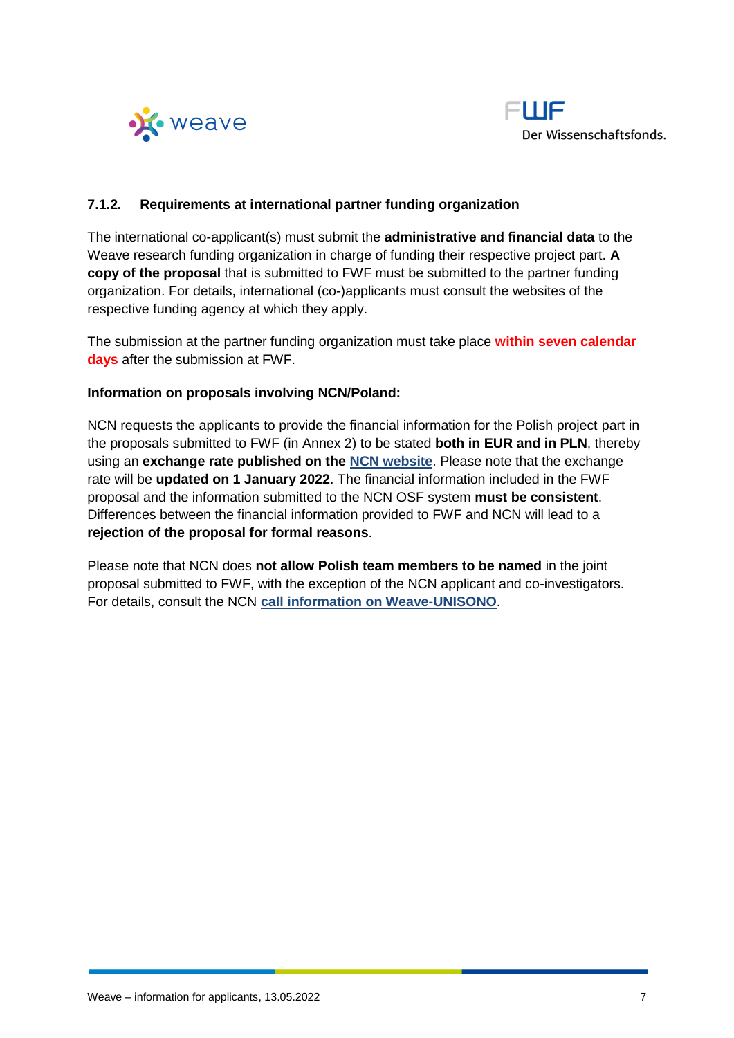



#### <span id="page-6-0"></span>**7.1.2. Requirements at international partner funding organization**

The international co-applicant(s) must submit the **administrative and financial data** to the Weave research funding organization in charge of funding their respective project part. **A copy of the proposal** that is submitted to FWF must be submitted to the partner funding organization. For details, international (co-)applicants must consult the websites of the respective funding agency at which they apply.

The submission at the partner funding organization must take place **within seven calendar days** after the submission at FWF.

#### **Information on proposals involving NCN/Poland:**

NCN requests the applicants to provide the financial information for the Polish project part in the proposals submitted to FWF (in Annex 2) to be stated **both in EUR and in PLN**, thereby using an **exchange rate published on the [NCN website](https://ncn.gov.pl/ogloszenia/konkursy/weave-unisono?language=en)**. Please note that the exchange rate will be **updated on 1 January 2022**. The financial information included in the FWF proposal and the information submitted to the NCN OSF system **must be consistent**. Differences between the financial information provided to FWF and NCN will lead to a **rejection of the proposal for formal reasons**.

Please note that NCN does **not allow Polish team members to be named** in the joint proposal submitted to FWF, with the exception of the NCN applicant and co-investigators. For details, consult the NCN **[call information on Weave-UNISONO](https://ncn.gov.pl/sites/default/files/pliki/WAVE-UNISONO-IFA_ang.pdf#page=6)**.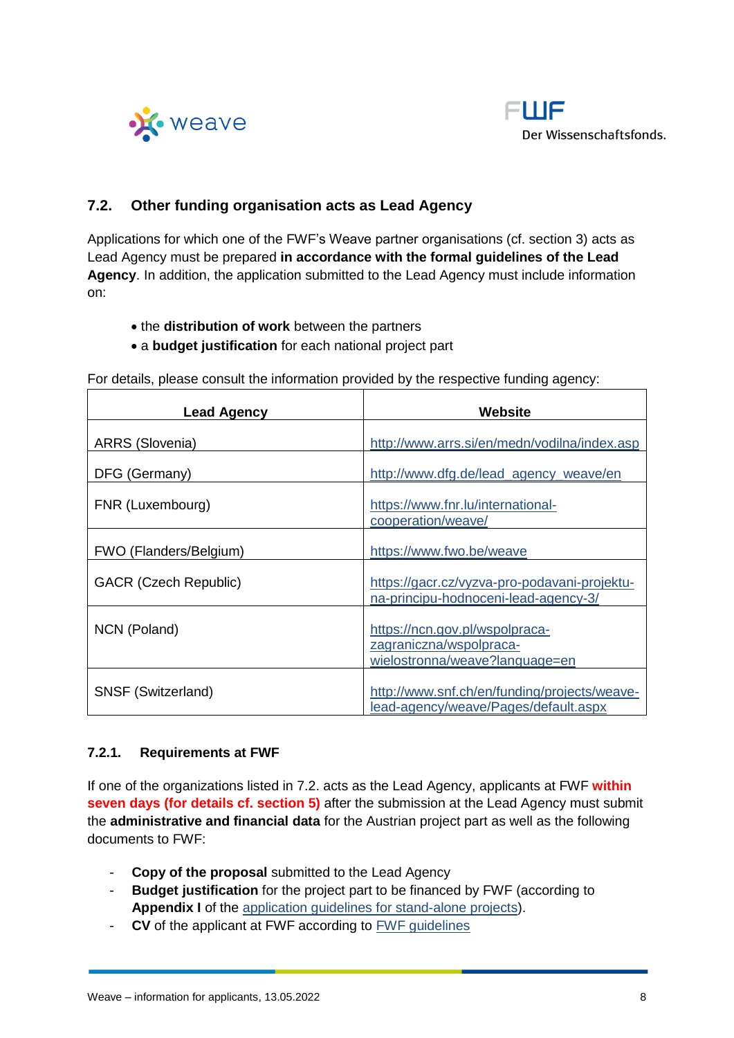



### <span id="page-7-0"></span>**7.2. Other funding organisation acts as Lead Agency**

Applications for which one of the FWF's Weave partner organisations (cf. section 3) acts as Lead Agency must be prepared **in accordance with the formal guidelines of the Lead Agency**. In addition, the application submitted to the Lead Agency must include information on:

- the **distribution of work** between the partners
- a **budget justification** for each national project part

| <b>Lead Agency</b>           | Website                                                                                     |
|------------------------------|---------------------------------------------------------------------------------------------|
| ARRS (Slovenia)              | http://www.arrs.si/en/medn/vodilna/index.asp                                                |
| DFG (Germany)                | http://www.dfg.de/lead_agency_weave/en                                                      |
| FNR (Luxembourg)             | https://www.fnr.lu/international-<br>cooperation/weave/                                     |
| FWO (Flanders/Belgium)       | https://www.fwo.be/weave                                                                    |
| <b>GACR (Czech Republic)</b> | https://gacr.cz/vyzva-pro-podavani-projektu-<br>na-principu-hodnoceni-lead-agency-3/        |
| NCN (Poland)                 | https://ncn.gov.pl/wspolpraca-<br>zagraniczna/wspolpraca-<br>wielostronna/weave?language=en |
| SNSF (Switzerland)           | http://www.snf.ch/en/funding/projects/weave-<br>lead-agency/weave/Pages/default.aspx        |

For details, please consult the information provided by the respective funding agency:

#### <span id="page-7-1"></span>**7.2.1. Requirements at FWF**

If one of the organizations listed in 7.2. acts as the Lead Agency, applicants at FWF **within seven days (for details cf. section 5)** after the submission at the Lead Agency must submit the **administrative and financial data** for the Austrian project part as well as the following documents to FWF:

- **Copy of the proposal** submitted to the Lead Agency
- **Budget justification** for the project part to be financed by FWF (according to **Appendix I** of the [application guidelines for stand-alone projects\)](https://www.fwf.ac.at/fileadmin/files/Dokumente/Antragstellung/Einzelprojekte/p_application-guidelines.pdf).
- **CV** of the applicant at FWF according to [FWF guidelines](https://www.fwf.ac.at/fileadmin/files/Dokumente/Antragstellung/Einzelprojekte/p_application-guidelines.pdf)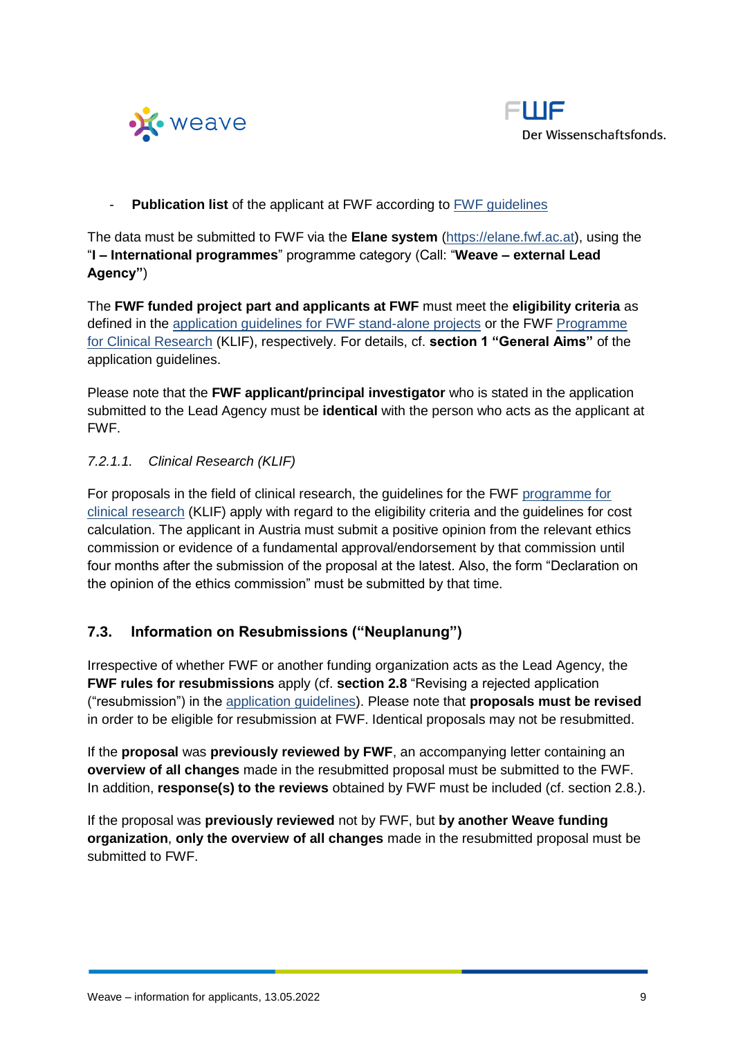



- **Publication list** of the applicant at FWF according to [FWF guidelines](https://www.fwf.ac.at/fileadmin/files/Dokumente/Antragstellung/Einzelprojekte/p_application-guidelines.pdf)

The data must be submitted to FWF via the **Elane system** [\(https://elane.fwf.ac.at\)](https://elane.fwf.ac.at/), using the "**I – International programmes**" programme category (Call: "**Weave – external Lead Agency"**)

The **FWF funded project part and applicants at FWF** must meet the **eligibility criteria** as defined in the [application guidelines for FWF stand-alone projects](https://www.fwf.ac.at/fileadmin/files/Dokumente/Antragstellung/Einzelprojekte/p_application-guidelines.pdf) or the FWF [Programme](https://www.fwf.ac.at/fileadmin/files/Dokumente/Antragstellung/KLIF/klif_application-guidelines.pdf)  [for Clinical Research](https://www.fwf.ac.at/fileadmin/files/Dokumente/Antragstellung/KLIF/klif_application-guidelines.pdf) (KLIF), respectively. For details, cf. **section 1 "General Aims"** of the application quidelines.

Please note that the **FWF applicant/principal investigator** who is stated in the application submitted to the Lead Agency must be **identical** with the person who acts as the applicant at FWF.

### *7.2.1.1. Clinical Research (KLIF)*

For proposals in the field of clinical research, the guidelines for the FWF [programme for](https://www.fwf.ac.at/fileadmin/files/Dokumente/Antragstellung/KLIF/klif_application-guidelines.pdf)  [clinical research](https://www.fwf.ac.at/fileadmin/files/Dokumente/Antragstellung/KLIF/klif_application-guidelines.pdf) (KLIF) apply with regard to the eligibility criteria and the guidelines for cost calculation. The applicant in Austria must submit a positive opinion from the relevant ethics commission or evidence of a fundamental approval/endorsement by that commission until four months after the submission of the proposal at the latest. Also, the form "Declaration on the opinion of the ethics commission" must be submitted by that time.

### <span id="page-8-0"></span>**7.3. Information on Resubmissions ("Neuplanung")**

Irrespective of whether FWF or another funding organization acts as the Lead Agency, the **FWF rules for resubmissions** apply (cf. **section 2.8** "Revising a rejected application ("resubmission") in the [application guidelines\)](https://www.fwf.ac.at/fileadmin/files/Dokumente/Antragstellung/Einzelprojekte/p_application-guidelines.pdf). Please note that **proposals must be revised** in order to be eligible for resubmission at FWF. Identical proposals may not be resubmitted.

If the **proposal** was **previously reviewed by FWF**, an accompanying letter containing an **overview of all changes** made in the resubmitted proposal must be submitted to the FWF. In addition, **response(s) to the reviews** obtained by FWF must be included (cf. section 2.8.).

If the proposal was **previously reviewed** not by FWF, but **by another Weave funding organization**, **only the overview of all changes** made in the resubmitted proposal must be submitted to FWF.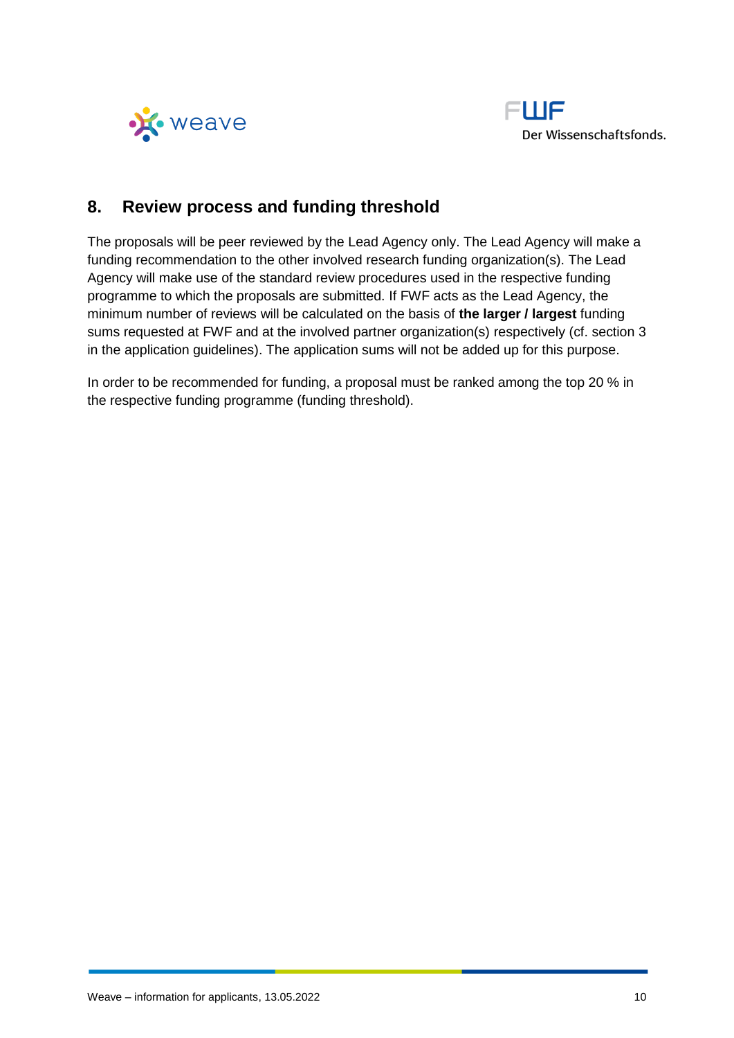



# <span id="page-9-0"></span>**8. Review process and funding threshold**

The proposals will be peer reviewed by the Lead Agency only. The Lead Agency will make a funding recommendation to the other involved research funding organization(s). The Lead Agency will make use of the standard review procedures used in the respective funding programme to which the proposals are submitted. If FWF acts as the Lead Agency, the minimum number of reviews will be calculated on the basis of **the larger / largest** funding sums requested at FWF and at the involved partner organization(s) respectively (cf. section 3 in the application guidelines). The application sums will not be added up for this purpose.

In order to be recommended for funding, a proposal must be ranked among the top 20 % in the respective funding programme (funding threshold).